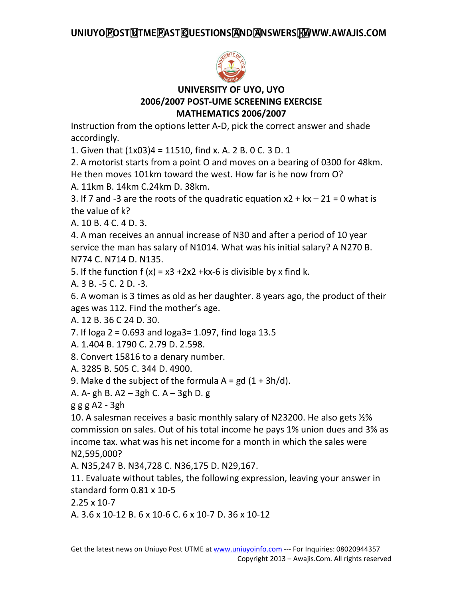

## **UNIVERSITY OF UYO, UYO 2006/2007 POST-UME SCREENING EXERCISE MATHEMATICS 2006/2007**

Instruction from the options letter A-D, pick the correct answer and shade accordingly.

1. Given that (1x03)4 = 11510, find x. A. 2 B. 0 C. 3 D. 1

2. A motorist starts from a point O and moves on a bearing of 0300 for 48km. He then moves 101km toward the west. How far is he now from O?

A. 11km B. 14km C.24km D. 38km.

3. If 7 and -3 are the roots of the quadratic equation  $x^2 + kx - 21 = 0$  what is the value of k?

A. 10 B. 4 C. 4 D. 3.

4. A man receives an annual increase of N30 and after a period of 10 year service the man has salary of N1014. What was his initial salary? A N270 B. N774 C. N714 D. N135.

5. If the function  $f(x) = x^3 + 2x^2 + kx - 6$  is divisible by x find k.

A. 3 B. -5 C. 2 D. -3.

6. A woman is 3 times as old as her daughter. 8 years ago, the product of their ages was 112. Find the mother's age.

A. 12 B. 36 C 24 D. 30.

7. If loga 2 = 0.693 and loga3= 1.097, find loga 13.5

A. 1.404 B. 1790 C. 2.79 D. 2.598.

8. Convert 15816 to a denary number.

A. 3285 B. 505 C. 344 D. 4900.

9. Make d the subject of the formula  $A = gd (1 + 3h/d)$ .

A. A- gh B. A2 – 3gh C. A – 3gh D. g

g g g A2 - 3gh

10. A salesman receives a basic monthly salary of N23200. He also gets ½% commission on sales. Out of his total income he pays 1% union dues and 3% as income tax. what was his net income for a month in which the sales were N2,595,000?

A. N35,247 B. N34,728 C. N36,175 D. N29,167.

11. Evaluate without tables, the following expression, leaving your answer in standard form 0.81 x 10-5

2.25 x 10-7

A. 3.6 x 10-12 B. 6 x 10-6 C. 6 x 10-7 D. 36 x 10-12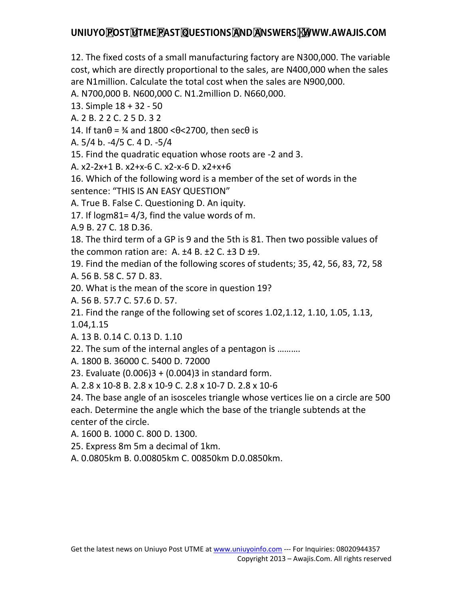12. The fixed costs of a small manufacturing factory are N300,000. The variable cost, which are directly proportional to the sales, are N400,000 when the sales are N1million. Calculate the total cost when the sales are N900,000.

A. N700,000 B. N600,000 C. N1.2million D. N660,000.

13. Simple 18 + 32 - 50

A. 2 B. 2 2 C. 2 5 D. 3 2

14. If tan $θ = \frac{3}{4}$  and 1800 < $θ$  < 2700, then sec $θ$  is

A. 5/4 b. -4/5 C. 4 D. -5/4

15. Find the quadratic equation whose roots are -2 and 3.

A. x2-2x+1 B. x2+x-6 C. x2-x-6 D. x2+x+6

16. Which of the following word is a member of the set of words in the sentence: "THIS IS AN EASY QUESTION"

A. True B. False C. Questioning D. An iquity.

17. If logm81= 4/3, find the value words of m.

A.9 B. 27 C. 18 D.36.

18. The third term of a GP is 9 and the 5th is 81. Then two possible values of the common ration are: A.  $\pm 4$  B.  $\pm 2$  C.  $\pm 3$  D  $\pm 9$ .

19. Find the median of the following scores of students; 35, 42, 56, 83, 72, 58 A. 56 B. 58 C. 57 D. 83.

20. What is the mean of the score in question 19?

A. 56 B. 57.7 C. 57.6 D. 57.

21. Find the range of the following set of scores 1.02,1.12, 1.10, 1.05, 1.13, 1.04,1.15

A. 13 B. 0.14 C. 0.13 D. 1.10

22. The sum of the internal angles of a pentagon is ……….

A. 1800 B. 36000 C. 5400 D. 72000

23. Evaluate (0.006)3 + (0.004)3 in standard form.

A. 2.8 x 10-8 B. 2.8 x 10-9 C. 2.8 x 10-7 D. 2.8 x 10-6

24. The base angle of an isosceles triangle whose vertices lie on a circle are 500 each. Determine the angle which the base of the triangle subtends at the center of the circle.

A. 1600 B. 1000 C. 800 D. 1300.

25. Express 8m 5m a decimal of 1km.

A. 0.0805km B. 0.00805km C. 00850km D.0.0850km.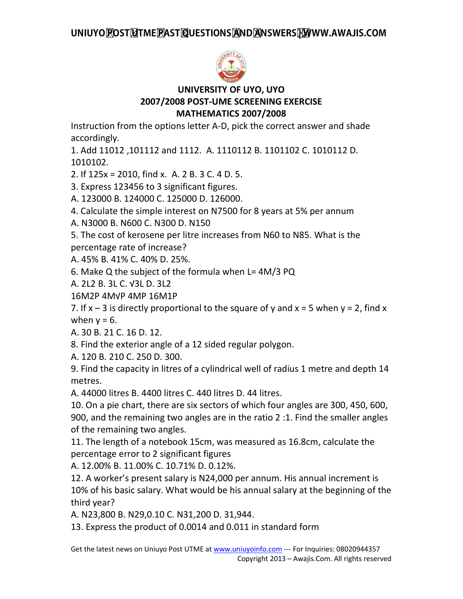

## **UNIVERSITY OF UYO, UYO 2007/2008 POST-UME SCREENING EXERCISE MATHEMATICS 2007/2008**

Instruction from the options letter A-D, pick the correct answer and shade accordingly.

1. Add 11012 ,101112 and 1112. A. 1110112 B. 1101102 C. 1010112 D. 1010102.

2. If 125x = 2010, find x. A. 2 B. 3 C. 4 D. 5.

3. Express 123456 to 3 significant figures.

A. 123000 B. 124000 C. 125000 D. 126000.

4. Calculate the simple interest on N7500 for 8 years at 5% per annum

A. N3000 B. N600 C. N300 D. N150

5. The cost of kerosene per litre increases from N60 to N85. What is the percentage rate of increase?

A. 45% B. 41% C. 40% D. 25%.

6. Make Q the subject of the formula when L= 4M/3 PQ

A. 2L2 B. 3L C. √3L D. 3L2

16M2P 4M√P 4MP 16M1P

7. If  $x - 3$  is directly proportional to the square of y and  $x = 5$  when  $y = 2$ , find x when  $y = 6$ .

A. 30 B. 21 C. 16 D. 12.

8. Find the exterior angle of a 12 sided regular polygon.

A. 120 B. 210 C. 250 D. 300.

9. Find the capacity in litres of a cylindrical well of radius 1 metre and depth 14 metres.

A. 44000 litres B. 4400 litres C. 440 litres D. 44 litres.

10. On a pie chart, there are six sectors of which four angles are 300, 450, 600, 900, and the remaining two angles are in the ratio 2 :1. Find the smaller angles of the remaining two angles.

11. The length of a notebook 15cm, was measured as 16.8cm, calculate the percentage error to 2 significant figures

A. 12.00% B. 11.00% C. 10.71% D. 0.12%.

12. A worker's present salary is N24,000 per annum. His annual increment is 10% of his basic salary. What would be his annual salary at the beginning of the third year?

A. N23,800 B. N29,0.10 C. N31,200 D. 31,944.

13. Express the product of 0.0014 and 0.011 in standard form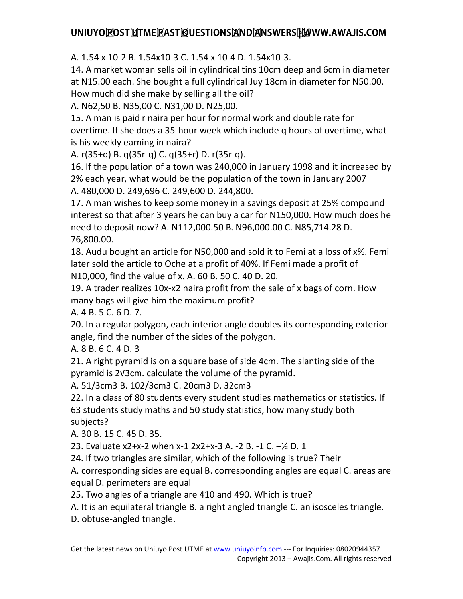A. 1.54 x 10-2 B. 1.54x10-3 C. 1.54 x 10-4 D. 1.54x10-3.

14. A market woman sells oil in cylindrical tins 10cm deep and 6cm in diameter at N15.00 each. She bought a full cylindrical Juy 18cm in diameter for N50.00. How much did she make by selling all the oil?

A. N62,50 B. N35,00 C. N31,00 D. N25,00.

15. A man is paid r naira per hour for normal work and double rate for overtime. If she does a 35-hour week which include q hours of overtime, what is his weekly earning in naira?

A. r(35+q) B. q(35r-q) C. q(35+r) D. r(35r-q).

16. If the population of a town was 240,000 in January 1998 and it increased by 2% each year, what would be the population of the town in January 2007 A. 480,000 D. 249,696 C. 249,600 D. 244,800.

17. A man wishes to keep some money in a savings deposit at 25% compound interest so that after 3 years he can buy a car for N150,000. How much does he need to deposit now? A. N112,000.50 B. N96,000.00 C. N85,714.28 D. 76,800.00.

18. Audu bought an article for N50,000 and sold it to Femi at a loss of x%. Femi later sold the article to Oche at a profit of 40%. If Femi made a profit of N10,000, find the value of x. A. 60 B. 50 C. 40 D. 20.

19. A trader realizes 10x-x2 naira profit from the sale of x bags of corn. How many bags will give him the maximum profit?

A. 4 B. 5 C. 6 D. 7.

20. In a regular polygon, each interior angle doubles its corresponding exterior angle, find the number of the sides of the polygon.

A. 8 B. 6 C. 4 D. 3

21. A right pyramid is on a square base of side 4cm. The slanting side of the pyramid is 2√3cm. calculate the volume of the pyramid.

A. 51/3cm3 B. 102/3cm3 C. 20cm3 D. 32cm3

22. In a class of 80 students every student studies mathematics or statistics. If 63 students study maths and 50 study statistics, how many study both subjects?

A. 30 B. 15 C. 45 D. 35.

23. Evaluate x2+x-2 when x-1 2x2+x-3 A. -2 B. -1 C. –½ D. 1

24. If two triangles are similar, which of the following is true? Their

A. corresponding sides are equal B. corresponding angles are equal C. areas are equal D. perimeters are equal

25. Two angles of a triangle are 410 and 490. Which is true?

A. It is an equilateral triangle B. a right angled triangle C. an isosceles triangle.

D. obtuse-angled triangle.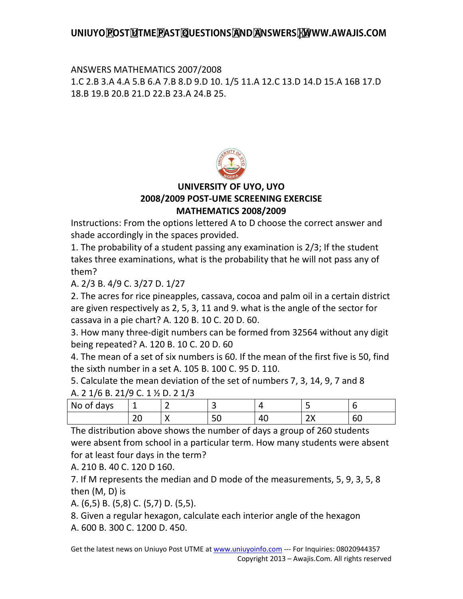## ANSWERS MATHEMATICS 2007/2008 1.C 2.B 3.A 4.A 5.B 6.A 7.B 8.D 9.D 10. 1/5 11.A 12.C 13.D 14.D 15.A 16B 17.D 18.B 19.B 20.B 21.D 22.B 23.A 24.B 25.



#### **UNIVERSITY OF UYO, UYO 2008/2009 POST-UME SCREENING EXERCISE MATHEMATICS 2008/2009**

Instructions: From the options lettered A to D choose the correct answer and shade accordingly in the spaces provided.

1. The probability of a student passing any examination is 2/3; If the student takes three examinations, what is the probability that he will not pass any of them?

A. 2/3 B. 4/9 C. 3/27 D. 1/27

2. The acres for rice pineapples, cassava, cocoa and palm oil in a certain district are given respectively as 2, 5, 3, 11 and 9. what is the angle of the sector for cassava in a pie chart? A. 120 B. 10 C. 20 D. 60.

3. How many three-digit numbers can be formed from 32564 without any digit being repeated? A. 120 B. 10 C. 20 D. 60

4. The mean of a set of six numbers is 60. If the mean of the first five is 50, find the sixth number in a set A. 105 B. 100 C. 95 D. 110.

5. Calculate the mean deviation of the set of numbers 7, 3, 14, 9, 7 and 8

| A. 2 1/6 B. 21/9 C. 1 1/2 D. 2 1/3 |  |    |  |
|------------------------------------|--|----|--|
| No of days                         |  |    |  |
|                                    |  | 40 |  |

The distribution above shows the number of days a group of 260 students were absent from school in a particular term. How many students were absent for at least four days in the term?

A. 210 B. 40 C. 120 D 160.

7. If M represents the median and D mode of the measurements, 5, 9, 3, 5, 8 then (M, D) is

A. (6,5) B. (5,8) C. (5,7) D. (5,5).

8. Given a regular hexagon, calculate each interior angle of the hexagon A. 600 B. 300 C. 1200 D. 450.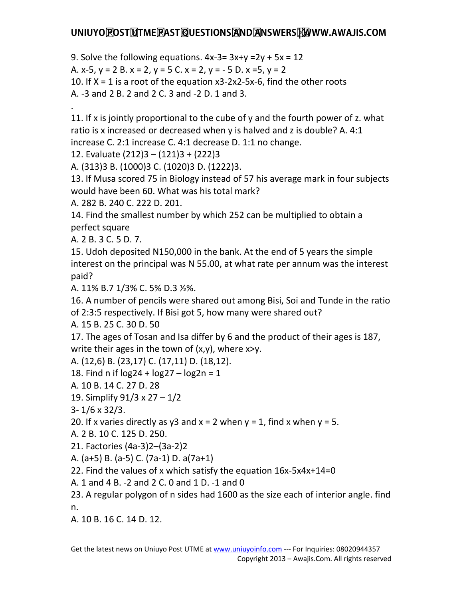9. Solve the following equations.  $4x-3=3x+y=2y+5x=12$ 

A. x-5, y = 2 B. x = 2, y = 5 C. x = 2, y = - 5 D. x =5, y = 2

10. If  $X = 1$  is a root of the equation  $x3-2x2-5x-6$ , find the other roots

A. -3 and 2 B. 2 and 2 C. 3 and -2 D. 1 and 3.

.

11. If x is jointly proportional to the cube of y and the fourth power of z. what ratio is x increased or decreased when y is halved and z is double? A. 4:1 increase C. 2:1 increase C. 4:1 decrease D. 1:1 no change.

12. Evaluate (212)3 – (121)3 + (222)3

A. (313)3 B. (1000)3 C. (1020)3 D. (1222)3.

13. If Musa scored 75 in Biology instead of 57 his average mark in four subjects would have been 60. What was his total mark?

A. 282 B. 240 C. 222 D. 201.

14. Find the smallest number by which 252 can be multiplied to obtain a perfect square

A. 2 B. 3 C. 5 D. 7.

15. Udoh deposited N150,000 in the bank. At the end of 5 years the simple interest on the principal was N 55.00, at what rate per annum was the interest paid?

A. 11% B.7 1/3% C. 5% D.3 ½%.

16. A number of pencils were shared out among Bisi, Soi and Tunde in the ratio of 2:3:5 respectively. If Bisi got 5, how many were shared out?

A. 15 B. 25 C. 30 D. 50

17. The ages of Tosan and Isa differ by 6 and the product of their ages is 187, write their ages in the town of  $(x,y)$ , where  $x>y$ .

A. (12,6) B. (23,17) C. (17,11) D. (18,12).

18. Find n if  $log 24 + log 27 - log 2n = 1$ 

A. 10 B. 14 C. 27 D. 28

19. Simplify 91/3 x 27 – 1/2

3- 1/6 x 32/3.

20. If x varies directly as y3 and  $x = 2$  when  $y = 1$ , find x when  $y = 5$ .

A. 2 B. 10 C. 125 D. 250.

21. Factories (4a-3)2–(3a-2)2

A. (a+5) B. (a-5) C. (7a-1) D. a(7a+1)

22. Find the values of x which satisfy the equation 16x-5x4x+14=0

A. 1 and 4 B. -2 and 2 C. 0 and 1 D. -1 and 0

23. A regular polygon of n sides had 1600 as the size each of interior angle. find n.

A. 10 B. 16 C. 14 D. 12.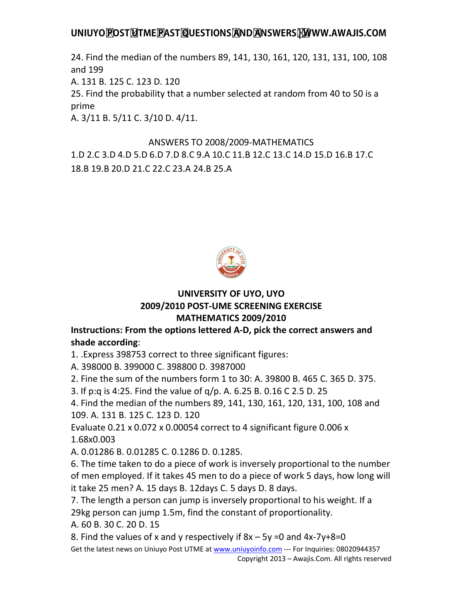24. Find the median of the numbers 89, 141, 130, 161, 120, 131, 131, 100, 108 and 199

A. 131 B. 125 C. 123 D. 120

25. Find the probability that a number selected at random from 40 to 50 is a prime

A. 3/11 B. 5/11 C. 3/10 D. 4/11.

# ANSWERS TO 2008/2009-MATHEMATICS 1.D 2.C 3.D 4.D 5.D 6.D 7.D 8.C 9.A 10.C 11.B 12.C 13.C 14.D 15.D 16.B 17.C 18.B 19.B 20.D 21.C 22.C 23.A 24.B 25.A



#### **UNIVERSITY OF UYO, UYO 2009/2010 POST-UME SCREENING EXERCISE MATHEMATICS 2009/2010**

**Instructions: From the options lettered A-D, pick the correct answers and shade according**:

1. .Express 398753 correct to three significant figures:

A. 398000 B. 399000 C. 398800 D. 3987000

2. Fine the sum of the numbers form 1 to 30: A. 39800 B. 465 C. 365 D. 375.

3. If p:q is 4:25. Find the value of q/p. A. 6.25 B. 0.16 C 2.5 D. 25

4. Find the median of the numbers 89, 141, 130, 161, 120, 131, 100, 108 and 109. A. 131 B. 125 C. 123 D. 120

Evaluate 0.21 x 0.072 x 0.00054 correct to 4 significant figure 0.006 x 1.68x0.003

A. 0.01286 B. 0.01285 C. 0.1286 D. 0.1285.

6. The time taken to do a piece of work is inversely proportional to the number of men employed. If it takes 45 men to do a piece of work 5 days, how long will it take 25 men? A. 15 days B. 12days C. 5 days D. 8 days.

7. The length a person can jump is inversely proportional to his weight. If a 29kg person can jump 1.5m, find the constant of proportionality.

A. 60 B. 30 C. 20 D. 15

8. Find the values of x and y respectively if  $8x - 5y = 0$  and  $4x - 7y + 8 = 0$ 

Get the latest news on Uniuyo Post UTME at www.uniuyoinfo.com --- For Inquiries: 08020944357 Copyright 2013 – Awajis.Com. All rights reserved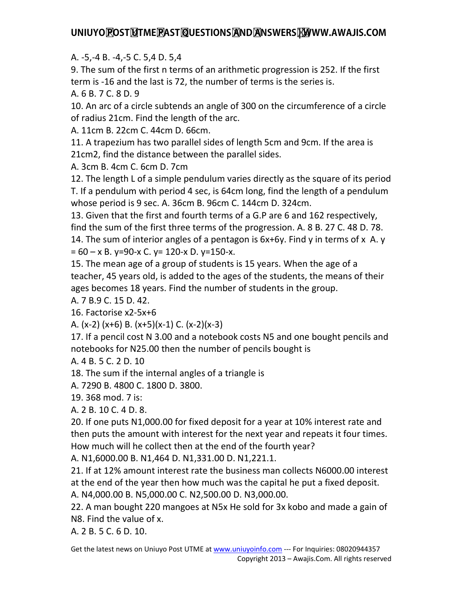A. -5,-4 B. -4,-5 C. 5,4 D. 5,4

9. The sum of the first n terms of an arithmetic progression is 252. If the first term is -16 and the last is 72, the number of terms is the series is.

A. 6 B. 7 C. 8 D. 9

10. An arc of a circle subtends an angle of 300 on the circumference of a circle of radius 21cm. Find the length of the arc.

A. 11cm B. 22cm C. 44cm D. 66cm.

11. A trapezium has two parallel sides of length 5cm and 9cm. If the area is 21cm2, find the distance between the parallel sides.

A. 3cm B. 4cm C. 6cm D. 7cm

12. The length L of a simple pendulum varies directly as the square of its period T. If a pendulum with period 4 sec, is 64cm long, find the length of a pendulum whose period is 9 sec. A. 36cm B. 96cm C. 144cm D. 324cm.

13. Given that the first and fourth terms of a G.P are 6 and 162 respectively, find the sum of the first three terms of the progression. A. 8 B. 27 C. 48 D. 78. 14. The sum of interior angles of a pentagon is 6x+6y. Find y in terms of x A. y  $= 60 - x B$ . y=90-x C. y= 120-x D. y=150-x.

15. The mean age of a group of students is 15 years. When the age of a teacher, 45 years old, is added to the ages of the students, the means of their ages becomes 18 years. Find the number of students in the group.

A. 7 B.9 C. 15 D. 42.

16. Factorise x2-5x+6

A. (x-2) (x+6) B. (x+5)(x-1) C. (x-2)(x-3)

17. If a pencil cost N 3.00 and a notebook costs N5 and one bought pencils and notebooks for N25.00 then the number of pencils bought is

A. 4 B. 5 C. 2 D. 10

18. The sum if the internal angles of a triangle is

A. 7290 B. 4800 C. 1800 D. 3800.

19. 368 mod. 7 is:

A. 2 B. 10 C. 4 D. 8.

20. If one puts N1,000.00 for fixed deposit for a year at 10% interest rate and then puts the amount with interest for the next year and repeats it four times. How much will he collect then at the end of the fourth year?

A. N1,6000.00 B. N1,464 D. N1,331.00 D. N1,221.1.

21. If at 12% amount interest rate the business man collects N6000.00 interest at the end of the year then how much was the capital he put a fixed deposit.

A. N4,000.00 B. N5,000.00 C. N2,500.00 D. N3,000.00.

22. A man bought 220 mangoes at N5x He sold for 3x kobo and made a gain of N8. Find the value of x.

A. 2 B. 5 C. 6 D. 10.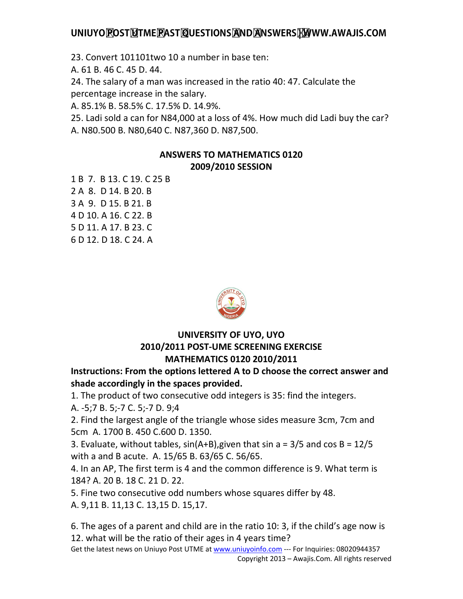23. Convert 101101two 10 a number in base ten:

A. 61 B. 46 C. 45 D. 44.

24. The salary of a man was increased in the ratio 40: 47. Calculate the percentage increase in the salary.

A. 85.1% B. 58.5% C. 17.5% D. 14.9%.

25. Ladi sold a can for N84,000 at a loss of 4%. How much did Ladi buy the car? A. N80.500 B. N80,640 C. N87,360 D. N87,500.

### **ANSWERS TO MATHEMATICS 0120 2009/2010 SESSION**

1 B 7. B 13. C 19. C 25 B 2 A 8. D 14. B 20. B 3 A 9. D 15. B 21. B 4 D 10. A 16. C 22. B 5 D 11. A 17. B 23. C 6 D 12. D 18. C 24. A



#### **UNIVERSITY OF UYO, UYO 2010/2011 POST-UME SCREENING EXERCISE MATHEMATICS 0120 2010/2011**

**Instructions: From the options lettered A to D choose the correct answer and shade accordingly in the spaces provided.** 

1. The product of two consecutive odd integers is 35: find the integers.

A. -5;7 B. 5;-7 C. 5;-7 D. 9;4

2. Find the largest angle of the triangle whose sides measure 3cm, 7cm and 5cm A. 1700 B. 450 C.600 D. 1350.

3. Evaluate, without tables,  $sin(A+B)$ , given that sin a = 3/5 and cos B = 12/5 with a and B acute. A. 15/65 B. 63/65 C. 56/65.

4. In an AP, The first term is 4 and the common difference is 9. What term is 184? A. 20 B. 18 C. 21 D. 22.

5. Fine two consecutive odd numbers whose squares differ by 48.

A. 9,11 B. 11,13 C. 13,15 D. 15,17.

6. The ages of a parent and child are in the ratio 10: 3, if the child's age now is 12. what will be the ratio of their ages in 4 years time?

Get the latest news on Uniuyo Post UTME at www.uniuyoinfo.com --- For Inquiries: 08020944357 Copyright 2013 – Awajis.Com. All rights reserved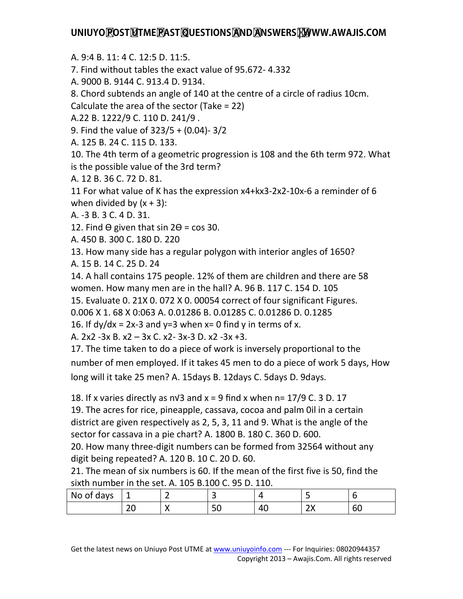A. 9:4 B. 11: 4 C. 12:5 D. 11:5.

7. Find without tables the exact value of 95.672- 4.332

A. 9000 B. 9144 C. 913.4 D. 9134.

8. Chord subtends an angle of 140 at the centre of a circle of radius 10cm.

Calculate the area of the sector (Take = 22)

A.22 B. 1222/9 C. 110 D. 241/9 .

9. Find the value of 323/5 + (0.04)- 3/2

A. 125 B. 24 C. 115 D. 133.

10. The 4th term of a geometric progression is 108 and the 6th term 972. What is the possible value of the 3rd term?

A. 12 B. 36 C. 72 D. 81.

11 For what value of K has the expression x4+kx3-2x2-10x-6 a reminder of 6 when divided by  $(x + 3)$ :

A. -3 B. 3 C. 4 D. 31.

12. Find  $\Theta$  given that sin 2 $\Theta$  = cos 30.

A. 450 B. 300 C. 180 D. 220

13. How many side has a regular polygon with interior angles of 1650?

A. 15 B. 14 C. 25 D. 24

14. A hall contains 175 people. 12% of them are children and there are 58 women. How many men are in the hall? A. 96 B. 117 C. 154 D. 105 15. Evaluate 0. 21X 0. 072 X 0. 00054 correct of four significant Figures.

0.006 X 1. 68 X 0:063 A. 0.01286 B. 0.01285 C. 0.01286 D. 0.1285

16. If  $dy/dx = 2x-3$  and  $y=3$  when  $x=0$  find y in terms of x.

A. 2x2 -3x B. x2 – 3x C. x2- 3x-3 D. x2 -3x +3.

17. The time taken to do a piece of work is inversely proportional to the number of men employed. If it takes 45 men to do a piece of work 5 days, How long will it take 25 men? A. 15days B. 12days C. 5days D. 9days.

18. If x varies directly as n√3 and  $x = 9$  find x when n= 17/9 C. 3 D. 17

19. The acres for rice, pineapple, cassava, cocoa and palm 0il in a certain district are given respectively as 2, 5, 3, 11 and 9. What is the angle of the sector for cassava in a pie chart? A. 1800 B. 180 C. 360 D. 600.

20. How many three-digit numbers can be formed from 32564 without any digit being repeated? A. 120 B. 10 C. 20 D. 60.

21. The mean of six numbers is 60. If the mean of the first five is 50, find the sixth number in the set. A. 105 B.100 C. 95 D. 110.

| No<br>days<br>0t | <u>. на с</u><br>_  | -<br>- | -<br>ے    |    | -                |                     |
|------------------|---------------------|--------|-----------|----|------------------|---------------------|
|                  | $\sim$ $\sim$<br>∠∪ | . .    | r o<br>υc | 4C | $\sim$<br>$\sim$ | $\sim$ $\sim$<br>σU |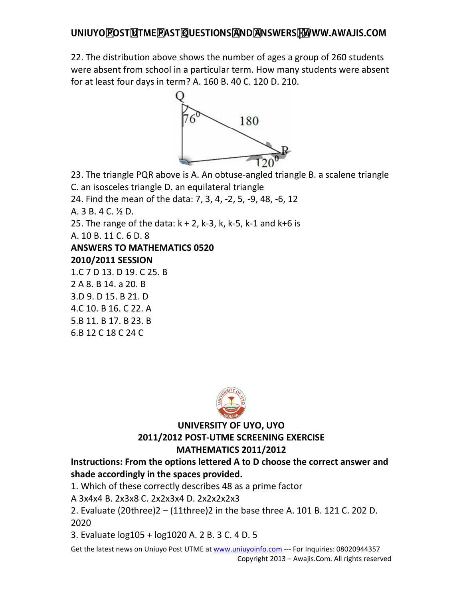22. The distribution above shows the number of ages a group of 260 students were absent from school in a particular term. How many students were absent for at least four days in term? A. 160 B. 40 C. 120 D. 210.



23. The triangle PQR above is A. An obtuse-angled triangle B. a scalene triangle C. an isosceles triangle D. an equilateral triangle

24. Find the mean of the data: 7, 3, 4, -2, 5, -9, 48, -6, 12

A. 3 B. 4 C. ½ D.

25. The range of the data:  $k + 2$ ,  $k - 3$ ,  $k$ ,  $k - 5$ ,  $k - 1$  and  $k + 6$  is

A. 10 B. 11 C. 6 D. 8

# **ANSWERS TO MATHEMATICS 0520**

#### **2010/2011 SESSION**

1.C 7 D 13. D 19. C 25. B

2 A 8. B 14. a 20. B

3.D 9. D 15. B 21. D

4.C 10. B 16. C 22. A 5.B 11. B 17. B 23. B

6.B 12 C 18 C 24 C



### **UNIVERSITY OF UYO, UYO 2011/2012 POST-UTME SCREENING EXERCISE MATHEMATICS 2011/2012**

## **Instructions: From the options lettered A to D choose the correct answer and shade accordingly in the spaces provided.**

1. Which of these correctly describes 48 as a prime factor

A 3x4x4 B. 2x3x8 C. 2x2x3x4 D. 2x2x2x2x3

2. Evaluate (20three)2 – (11three)2 in the base three A. 101 B. 121 C. 202 D. 2020

3. Evaluate log105 + log1020 A. 2 B. 3 C. 4 D. 5

Get the latest news on Uniuyo Post UTME at www.uniuyoinfo.com --- For Inquiries: 08020944357 Copyright 2013 – Awajis.Com. All rights reserved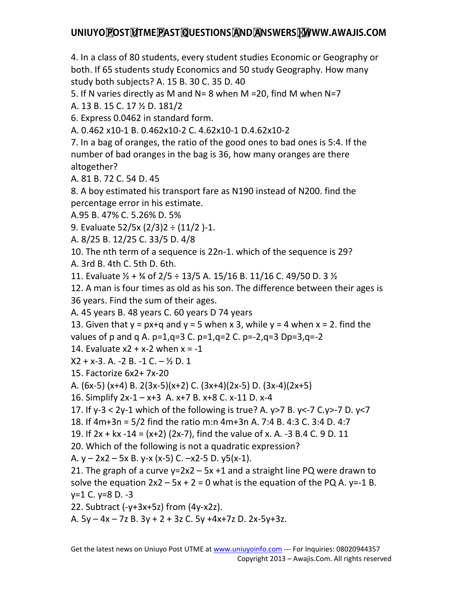4. In a class of 80 students, every student studies Economic or Geography or both. If 65 students study Economics and 50 study Geography. How many study both subjects? A. 15 B. 30 C. 35 D. 40

5. If N varies directly as M and N= 8 when M =20, find M when N=7 A. 13 B. 15 C. 17 ½ D. 181/2

6. Express 0.0462 in standard form.

A. 0.462 x10-1 B. 0.462x10-2 C. 4.62x10-1 D.4.62x10-2

7. In a bag of oranges, the ratio of the good ones to bad ones is 5:4. If the number of bad oranges in the bag is 36, how many oranges are there altogether?

A. 81 B. 72 C. 54 D. 45

8. A boy estimated his transport fare as N190 instead of N200. find the percentage error in his estimate.

A.95 B. 47% C. 5.26% D. 5%

9. Evaluate 52/5x (2/3)2 ÷ (11/2 )-1.

A. 8/25 B. 12/25 C. 33/5 D. 4/8

10. The nth term of a sequence is 22n-1. which of the sequence is 29?

A. 3rd B. 4th C. 5th D. 6th.

11. Evaluate  $\frac{1}{2}$  +  $\frac{3}{4}$  of 2/5 ÷ 13/5 A. 15/16 B. 11/16 C. 49/50 D. 3  $\frac{1}{2}$ 

12. A man is four times as old as his son. The difference between their ages is 36 years. Find the sum of their ages.

A. 45 years B. 48 years C. 60 years D 74 years

13. Given that  $y = px+q$  and  $y = 5$  when x 3, while  $y = 4$  when x = 2. find the values of p and q A.  $p=1$ ,  $q=3$  C.  $p=1$ ,  $q=2$  C.  $p=-2$ ,  $q=3$  Dp=3, $q=-2$ 

14. Evaluate  $x^2 + x - 2$  when  $x = -1$ 

 $X2 + X-3$ . A.  $-2$  B.  $-1$  C.  $\frac{1}{2}$  D. 1

15. Factorize 6x2+ 7x-20

A. (6x-5) (x+4) B. 2(3x-5)(x+2) C. (3x+4)(2x-5) D. (3x-4)(2x+5)

16. Simplify 2x-1 – x+3 A. x+7 B. x+8 C. x-11 D. x-4

17. If y-3 < 2y-1 which of the following is true? A. y>7 B. y<-7 C.y>-7 D. y<7

```
18. If 4m+3n = 5/2 find the ratio m:n 4m+3n A. 7:4 B. 4:3 C. 3:4 D. 4:7
```
19. If 2x + kx -14 = (x+2) (2x-7), find the value of x. A. -3 B.4 C. 9 D. 11

20. Which of the following is not a quadratic expression?

A.  $y - 2x^2 - 5x$  B. y-x (x-5) C.  $-x^2-5$  D. y5(x-1).

21. The graph of a curve  $y=2x^2 - 5x + 1$  and a straight line PQ were drawn to solve the equation  $2x^2 - 5x + 2 = 0$  what is the equation of the PQ A. y=-1 B. y=1 C. y=8 D. -3

22. Subtract (-y+3x+5z) from (4y-x2z).

A. 5y – 4x – 7z B. 3y + 2 + 3z C. 5y +4x+7z D. 2x-5y+3z.